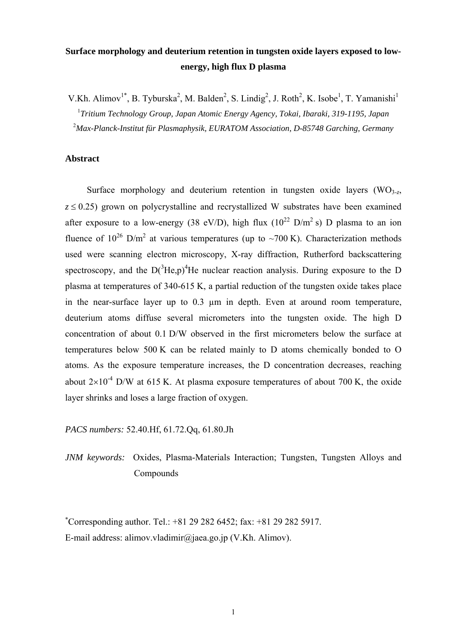# **Surface morphology and deuterium retention in tungsten oxide layers exposed to lowenergy, high flux D plasma**

V.Kh. Alimov<sup>1\*</sup>, B. Tyburska<sup>2</sup>, M. Balden<sup>2</sup>, S. Lindig<sup>2</sup>, J. Roth<sup>2</sup>, K. Isobe<sup>1</sup>, T. Yamanishi<sup>1</sup> 1 *Tritium Technology Group, Japan Atomic Energy Agency, Tokai, Ibaraki, 319-1195, Japan*  2 *Max-Planck-Institut für Plasmaphysik, EURATOM Association, D-85748 Garching, Germany* 

## **Abstract**

Surface morphology and deuterium retention in tungsten oxide layers  $(WO<sub>3-7</sub>)$  $z \le 0.25$ ) grown on polycrystalline and recrystallized W substrates have been examined after exposure to a low-energy (38 eV/D), high flux ( $10^{22}$  D/m<sup>2</sup> s) D plasma to an ion fluence of  $10^{26}$  D/m<sup>2</sup> at various temperatures (up to ~700 K). Characterization methods used were scanning electron microscopy, X-ray diffraction, Rutherford backscattering spectroscopy, and the  $D(^{3}He,p)^{4}He$  nuclear reaction analysis. During exposure to the D plasma at temperatures of 340-615 K, a partial reduction of the tungsten oxide takes place in the near-surface layer up to 0.3 um in depth. Even at around room temperature, deuterium atoms diffuse several micrometers into the tungsten oxide. The high D concentration of about 0.1 D/W observed in the first micrometers below the surface at temperatures below 500 K can be related mainly to D atoms chemically bonded to O atoms. As the exposure temperature increases, the D concentration decreases, reaching about  $2\times10^{-4}$  D/W at 615 K. At plasma exposure temperatures of about 700 K, the oxide layer shrinks and loses a large fraction of oxygen.

*PACS numbers:* 52.40.Hf, 61.72.Qq, 61.80.Jh

*JNM keywords:* Oxides, Plasma-Materials Interaction; Tungsten, Tungsten Alloys and Compounds

 Corresponding author. Tel.: +81 29 282 6452; fax: +81 29 282 5917. E-mail address: alimov.vladimir@jaea.go.jp (V.Kh. Alimov).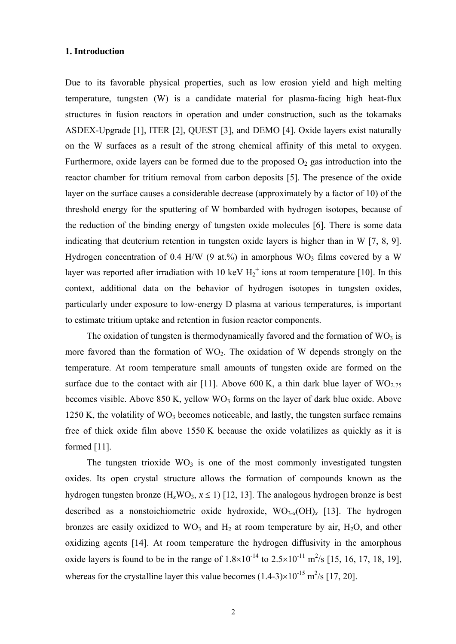#### **1. Introduction**

Due to its favorable physical properties, such as low erosion yield and high melting temperature, tungsten (W) is a candidate material for plasma-facing high heat-flux structures in fusion reactors in operation and under construction, such as the tokamaks ASDEX-Upgrade [1], ITER [2], QUEST [3], and DEMO [4]. Oxide layers exist naturally on the W surfaces as a result of the strong chemical affinity of this metal to oxygen. Furthermore, oxide layers can be formed due to the proposed  $O_2$  gas introduction into the reactor chamber for tritium removal from carbon deposits [5]. The presence of the oxide layer on the surface causes a considerable decrease (approximately by a factor of 10) of the threshold energy for the sputtering of W bombarded with hydrogen isotopes, because of the reduction of the binding energy of tungsten oxide molecules [6]. There is some data indicating that deuterium retention in tungsten oxide layers is higher than in W [7, 8, 9]. Hydrogen concentration of 0.4 H/W (9 at.%) in amorphous  $WO_3$  films covered by a W layer was reported after irradiation with 10 keV  $H_2^+$  ions at room temperature [10]. In this context, additional data on the behavior of hydrogen isotopes in tungsten oxides, particularly under exposure to low-energy D plasma at various temperatures, is important to estimate tritium uptake and retention in fusion reactor components.

The oxidation of tungsten is thermodynamically favored and the formation of  $WO<sub>3</sub>$  is more favored than the formation of  $WO_2$ . The oxidation of W depends strongly on the temperature. At room temperature small amounts of tungsten oxide are formed on the surface due to the contact with air [11]. Above 600 K, a thin dark blue layer of WO<sub>2.75</sub> becomes visible. Above  $850$  K, yellow WO<sub>3</sub> forms on the layer of dark blue oxide. Above 1250 K, the volatility of  $WO_3$  becomes noticeable, and lastly, the tungsten surface remains free of thick oxide film above 1550 K because the oxide volatilizes as quickly as it is formed [11].

The tungsten trioxide  $WO_3$  is one of the most commonly investigated tungsten oxides. Its open crystal structure allows the formation of compounds known as the hydrogen tungsten bronze  $(H_xWO_3, x \le 1)$  [12, 13]. The analogous hydrogen bronze is best described as a nonstoichiometric oxide hydroxide,  $WO_{3-x}(OH)_x$  [13]. The hydrogen bronzes are easily oxidized to  $WO_3$  and  $H_2$  at room temperature by air,  $H_2O$ , and other oxidizing agents [14]. At room temperature the hydrogen diffusivity in the amorphous oxide layers is found to be in the range of  $1.8\times10^{-14}$  to  $2.5\times10^{-11}$  m<sup>2</sup>/s [15, 16, 17, 18, 19], whereas for the crystalline layer this value becomes  $(1.4-3)\times10^{-15}$  m<sup>2</sup>/s [17, 20].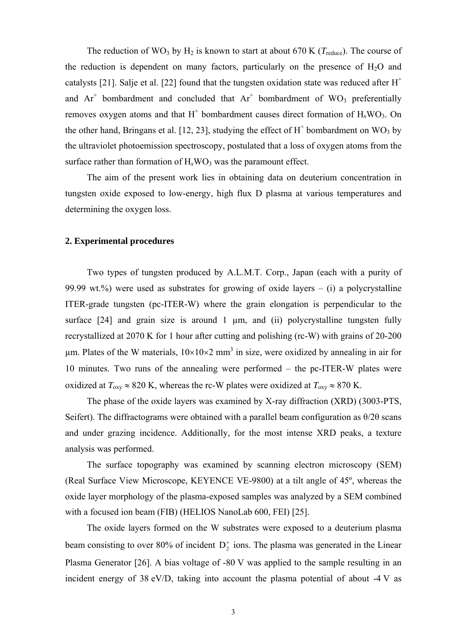The reduction of WO<sub>3</sub> by H<sub>2</sub> is known to start at about 670 K ( $T_{\text{reduce}}$ ). The course of the reduction is dependent on many factors, particularly on the presence of  $H_2O$  and catalysts [21]. Salje et al. [22] found that the tungsten oxidation state was reduced after  $H^+$ and  $Ar^+$  bombardment and concluded that  $Ar^+$  bombardment of WO<sub>3</sub> preferentially removes oxygen atoms and that  $H^+$  bombardment causes direct formation of  $H_xWO_3$ . On the other hand, Bringans et al. [12, 23], studying the effect of  $H^+$  bombardment on WO<sub>3</sub> by the ultraviolet photoemission spectroscopy, postulated that a loss of oxygen atoms from the surface rather than formation of  $H_xWO_3$  was the paramount effect.

The aim of the present work lies in obtaining data on deuterium concentration in tungsten oxide exposed to low-energy, high flux D plasma at various temperatures and determining the oxygen loss.

# **2. Experimental procedures**

Two types of tungsten produced by A.L.M.T. Corp., Japan (each with a purity of 99.99 wt.%) were used as substrates for growing of oxide layers  $-$  (i) a polycrystalline ITER-grade tungsten (pc-ITER-W) where the grain elongation is perpendicular to the surface  $[24]$  and grain size is around 1  $\mu$ m, and (ii) polycrystalline tungsten fully recrystallized at 2070 K for 1 hour after cutting and polishing (rc-W) with grains of 20-200  $\mu$ m. Plates of the W materials,  $10\times10\times2$  mm<sup>3</sup> in size, were oxidized by annealing in air for 10 minutes. Two runs of the annealing were performed – the pc-ITER-W plates were oxidized at  $T_{\text{oxy}} \approx 820 \text{ K}$ , whereas the rc-W plates were oxidized at  $T_{\text{oxy}} \approx 870 \text{ K}$ .

The phase of the oxide layers was examined by X-ray diffraction (XRD) (3003-PTS, Seifert). The diffractograms were obtained with a parallel beam configuration as  $\theta/2\theta$  scans and under grazing incidence. Additionally, for the most intense XRD peaks, a texture analysis was performed.

The surface topography was examined by scanning electron microscopy (SEM) (Real Surface View Microscope, KEYENCE VE-9800) at a tilt angle of 45º, whereas the oxide layer morphology of the plasma-exposed samples was analyzed by a SEM combined with a focused ion beam (FIB) (HELIOS NanoLab 600, FEI) [25].

The oxide layers formed on the W substrates were exposed to a deuterium plasma beam consisting to over 80% of incident  $D_2^+$  ions. The plasma was generated in the Linear Plasma Generator [26]. A bias voltage of -80 V was applied to the sample resulting in an incident energy of 38 eV/D, taking into account the plasma potential of about -4 V as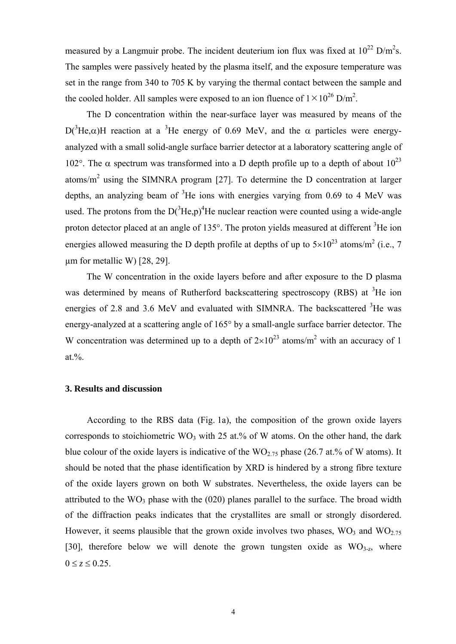measured by a Langmuir probe. The incident deuterium ion flux was fixed at  $10^{22}$  D/m<sup>2</sup>s. The samples were passively heated by the plasma itself, and the exposure temperature was set in the range from 340 to 705 K by varying the thermal contact between the sample and the cooled holder. All samples were exposed to an ion fluence of  $1 \times 10^{26}$  D/m<sup>2</sup>.

The D concentration within the near-surface layer was measured by means of the  $D(^{3}He, \alpha)$ H reaction at a <sup>3</sup>He energy of 0.69 MeV, and the  $\alpha$  particles were energyanalyzed with a small solid-angle surface barrier detector at a laboratory scattering angle of 102°. The  $\alpha$  spectrum was transformed into a D depth profile up to a depth of about  $10^{23}$ atoms/ $m<sup>2</sup>$  using the SIMNRA program [27]. To determine the D concentration at larger depths, an analyzing beam of  ${}^{3}$ He ions with energies varying from 0.69 to 4 MeV was used. The protons from the  $D(^{3}He,p)^{4}He$  nuclear reaction were counted using a wide-angle proton detector placed at an angle of  $135^{\circ}$ . The proton yields measured at different  $3$ He ion energies allowed measuring the D depth profile at depths of up to  $5\times10^{23}$  atoms/m<sup>2</sup> (i.e., 7  $\mu$ m for metallic W) [28, 29].

The W concentration in the oxide layers before and after exposure to the D plasma was determined by means of Rutherford backscattering spectroscopy (RBS) at  ${}^{3}$ He ion energies of 2.8 and 3.6 MeV and evaluated with SIMNRA. The backscattered  ${}^{3}$ He was energy-analyzed at a scattering angle of 165° by a small-angle surface barrier detector. The W concentration was determined up to a depth of  $2\times10^{23}$  atoms/m<sup>2</sup> with an accuracy of 1 at.%.

## **3. Results and discussion**

According to the RBS data (Fig. 1a), the composition of the grown oxide layers corresponds to stoichiometric  $WO_3$  with 25 at.% of W atoms. On the other hand, the dark blue colour of the oxide layers is indicative of the  $WO_{2.75}$  phase (26.7 at.% of W atoms). It should be noted that the phase identification by XRD is hindered by a strong fibre texture of the oxide layers grown on both W substrates. Nevertheless, the oxide layers can be attributed to the  $WO_3$  phase with the  $(020)$  planes parallel to the surface. The broad width of the diffraction peaks indicates that the crystallites are small or strongly disordered. However, it seems plausible that the grown oxide involves two phases,  $WO<sub>3</sub>$  and  $WO<sub>2.75</sub>$ [30], therefore below we will denote the grown tungsten oxide as  $WO<sub>3-7</sub>$ , where  $0 \le z \le 0.25$ .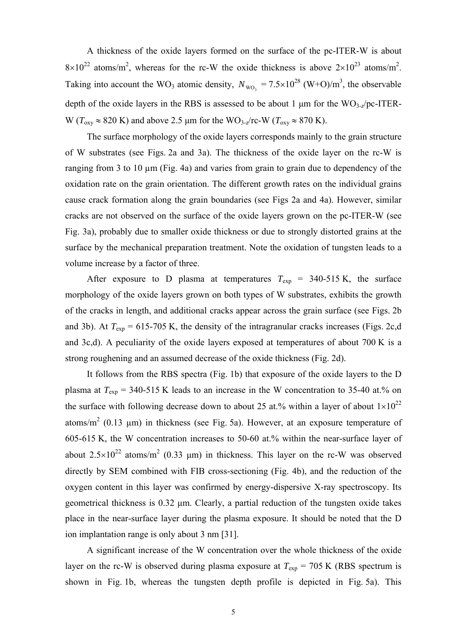A thickness of the oxide layers formed on the surface of the pc-ITER-W is about  $8 \times 10^{22}$  atoms/m<sup>2</sup>, whereas for the rc-W the oxide thickness is above  $2 \times 10^{23}$  atoms/m<sup>2</sup>. Taking into account the WO<sub>3</sub> atomic density,  $N_{\text{WO}_3} = 7.5 \times 10^{28}$  (W+O)/m<sup>3</sup>, the observable depth of the oxide layers in the RBS is assessed to be about 1 μm for the WO3-*z*/pc-ITER-W ( $T_{\text{oxy}} \approx 820 \text{ K}$ ) and above 2.5 µm for the WO<sub>3-z</sub>/rc-W ( $T_{\text{oxy}} \approx 870 \text{ K}$ ).

The surface morphology of the oxide layers corresponds mainly to the grain structure of W substrates (see Figs. 2a and 3a). The thickness of the oxide layer on the rc-W is ranging from 3 to 10 µm (Fig. 4a) and varies from grain to grain due to dependency of the oxidation rate on the grain orientation. The different growth rates on the individual grains cause crack formation along the grain boundaries (see Figs 2a and 4a). However, similar cracks are not observed on the surface of the oxide layers grown on the pc-ITER-W (see Fig. 3a), probably due to smaller oxide thickness or due to strongly distorted grains at the surface by the mechanical preparation treatment. Note the oxidation of tungsten leads to a volume increase by a factor of three.

After exposure to D plasma at temperatures  $T_{\text{exp}}$  = 340-515 K, the surface morphology of the oxide layers grown on both types of W substrates, exhibits the growth of the cracks in length, and additional cracks appear across the grain surface (see Figs. 2b and 3b). At  $T_{\text{exp}} = 615-705$  K, the density of the intragranular cracks increases (Figs. 2c,d and 3c,d). A peculiarity of the oxide layers exposed at temperatures of about 700 K is a strong roughening and an assumed decrease of the oxide thickness (Fig. 2d).

It follows from the RBS spectra (Fig. 1b) that exposure of the oxide layers to the D plasma at  $T_{\rm exp}$  = 340-515 K leads to an increase in the W concentration to 35-40 at.% on the surface with following decrease down to about 25 at.% within a layer of about  $1\times10^{22}$ atoms/ $m<sup>2</sup>$  (0.13 µm) in thickness (see Fig. 5a). However, at an exposure temperature of 605-615 K, the W concentration increases to 50-60 at.% within the near-surface layer of about 2.5 $\times$ 10<sup>22</sup> atoms/m<sup>2</sup> (0.33 µm) in thickness. This layer on the rc-W was observed directly by SEM combined with FIB cross-sectioning (Fig. 4b), and the reduction of the oxygen content in this layer was confirmed by energy-dispersive X-ray spectroscopy. Its geometrical thickness is 0.32 μm. Clearly, a partial reduction of the tungsten oxide takes place in the near-surface layer during the plasma exposure. It should be noted that the D ion implantation range is only about 3 nm [31].

A significant increase of the W concentration over the whole thickness of the oxide layer on the rc-W is observed during plasma exposure at  $T_{\text{exp}} = 705 \text{ K}$  (RBS spectrum is shown in Fig. 1b, whereas the tungsten depth profile is depicted in Fig. 5a). This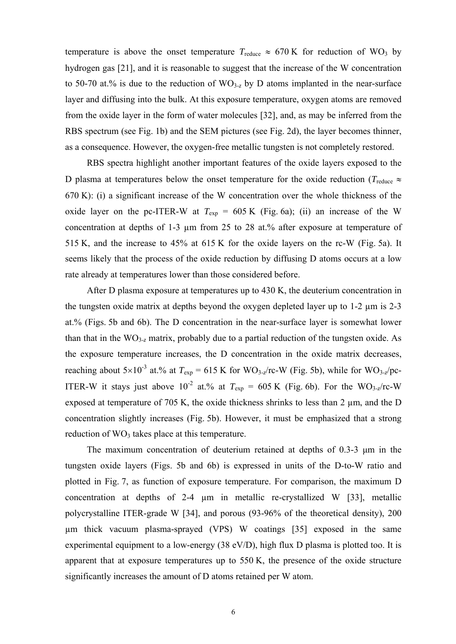temperature is above the onset temperature  $T_{reduce} \approx 670 \text{ K}$  for reduction of WO<sub>3</sub> by hydrogen gas [21], and it is reasonable to suggest that the increase of the W concentration to 50-70 at.% is due to the reduction of  $WO_{3-z}$  by D atoms implanted in the near-surface layer and diffusing into the bulk. At this exposure temperature, oxygen atoms are removed from the oxide layer in the form of water molecules [32], and, as may be inferred from the RBS spectrum (see Fig. 1b) and the SEM pictures (see Fig. 2d), the layer becomes thinner, as a consequence. However, the oxygen-free metallic tungsten is not completely restored.

RBS spectra highlight another important features of the oxide layers exposed to the D plasma at temperatures below the onset temperature for the oxide reduction ( $T_{\text{reduce}} \approx$ 670 K): (i) a significant increase of the W concentration over the whole thickness of the oxide layer on the pc-ITER-W at  $T_{\text{exp}} = 605 \text{ K}$  (Fig. 6a); (ii) an increase of the W concentration at depths of 1-3 µm from 25 to 28 at.% after exposure at temperature of 515 K, and the increase to 45% at 615 K for the oxide layers on the rc-W (Fig. 5a). It seems likely that the process of the oxide reduction by diffusing D atoms occurs at a low rate already at temperatures lower than those considered before.

After D plasma exposure at temperatures up to 430 K, the deuterium concentration in the tungsten oxide matrix at depths beyond the oxygen depleted layer up to 1-2 µm is 2-3 at.% (Figs. 5b and 6b). The D concentration in the near-surface layer is somewhat lower than that in the WO3-*z* matrix, probably due to a partial reduction of the tungsten oxide. As the exposure temperature increases, the D concentration in the oxide matrix decreases, reaching about  $5\times10^{-3}$  at.% at  $T_{\text{exp}} = 615$  K for WO<sub>3-z</sub>/rc-W (Fig. 5b), while for WO<sub>3-z</sub>/pc-ITER-W it stays just above  $10^{-2}$  at.% at  $T_{\rm exp} = 605$  K (Fig. 6b). For the WO<sub>3-</sub>*z*/rc-W exposed at temperature of 705 K, the oxide thickness shrinks to less than 2  $\mu$ m, and the D concentration slightly increases (Fig. 5b). However, it must be emphasized that a strong reduction of  $WO<sub>3</sub>$  takes place at this temperature.

The maximum concentration of deuterium retained at depths of 0.3-3 μm in the tungsten oxide layers (Figs. 5b and 6b) is expressed in units of the D-to-W ratio and plotted in Fig. 7, as function of exposure temperature. For comparison, the maximum D concentration at depths of 2-4 µm in metallic re-crystallized W [33], metallic polycrystalline ITER-grade W [34], and porous (93-96% of the theoretical density), 200 µm thick vacuum plasma-sprayed (VPS) W coatings [35] exposed in the same experimental equipment to a low-energy (38 eV/D), high flux D plasma is plotted too. It is apparent that at exposure temperatures up to 550 K, the presence of the oxide structure significantly increases the amount of D atoms retained per W atom.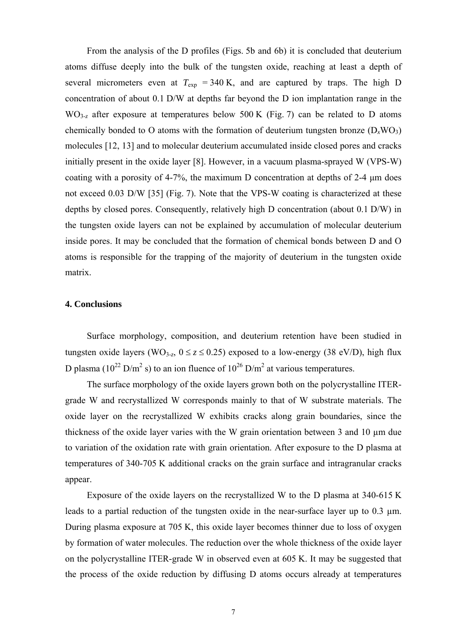From the analysis of the D profiles (Figs. 5b and 6b) it is concluded that deuterium atoms diffuse deeply into the bulk of the tungsten oxide, reaching at least a depth of several micrometers even at  $T_{\text{exp}}$  = 340 K, and are captured by traps. The high D concentration of about 0.1 D/W at depths far beyond the D ion implantation range in the WO<sub>3-z</sub> after exposure at temperatures below 500 K (Fig. 7) can be related to D atoms chemically bonded to O atoms with the formation of deuterium tungsten bronze  $(D_xWO_3)$ molecules [12, 13] and to molecular deuterium accumulated inside closed pores and cracks initially present in the oxide layer [8]. However, in a vacuum plasma-sprayed W (VPS-W) coating with a porosity of 4-7%, the maximum D concentration at depths of 2-4 μm does not exceed 0.03 D/W [35] (Fig. 7). Note that the VPS-W coating is characterized at these depths by closed pores. Consequently, relatively high D concentration (about 0.1 D/W) in the tungsten oxide layers can not be explained by accumulation of molecular deuterium inside pores. It may be concluded that the formation of chemical bonds between D and O atoms is responsible for the trapping of the majority of deuterium in the tungsten oxide matrix.

#### **4. Conclusions**

Surface morphology, composition, and deuterium retention have been studied in tungsten oxide layers (WO<sub>3-z</sub>,  $0 \le z \le 0.25$ ) exposed to a low-energy (38 eV/D), high flux D plasma ( $10^{22}$  D/m<sup>2</sup> s) to an ion fluence of  $10^{26}$  D/m<sup>2</sup> at various temperatures.

The surface morphology of the oxide layers grown both on the polycrystalline ITERgrade W and recrystallized W corresponds mainly to that of W substrate materials. The oxide layer on the recrystallized W exhibits cracks along grain boundaries, since the thickness of the oxide layer varies with the W grain orientation between 3 and 10 µm due to variation of the oxidation rate with grain orientation. After exposure to the D plasma at temperatures of 340-705 K additional cracks on the grain surface and intragranular cracks appear.

Exposure of the oxide layers on the recrystallized W to the D plasma at 340-615 K leads to a partial reduction of the tungsten oxide in the near-surface layer up to 0.3 µm. During plasma exposure at 705 K, this oxide layer becomes thinner due to loss of oxygen by formation of water molecules. The reduction over the whole thickness of the oxide layer on the polycrystalline ITER-grade W in observed even at 605 K. It may be suggested that the process of the oxide reduction by diffusing D atoms occurs already at temperatures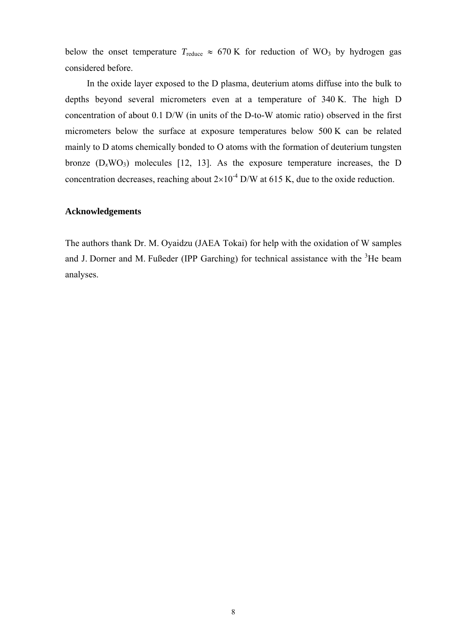below the onset temperature  $T_{reduce} \approx 670 \text{ K}$  for reduction of WO<sub>3</sub> by hydrogen gas considered before.

In the oxide layer exposed to the D plasma, deuterium atoms diffuse into the bulk to depths beyond several micrometers even at a temperature of 340 K. The high D concentration of about 0.1 D/W (in units of the D-to-W atomic ratio) observed in the first micrometers below the surface at exposure temperatures below 500 K can be related mainly to D atoms chemically bonded to O atoms with the formation of deuterium tungsten bronze  $(D_xWO_3)$  molecules [12, 13]. As the exposure temperature increases, the D concentration decreases, reaching about  $2\times10^{-4}$  D/W at 615 K, due to the oxide reduction.

# **Acknowledgements**

The authors thank Dr. M. Oyaidzu (JAEA Tokai) for help with the oxidation of W samples and J. Dorner and M. Fußeder (IPP Garching) for technical assistance with the  ${}^{3}$ He beam analyses.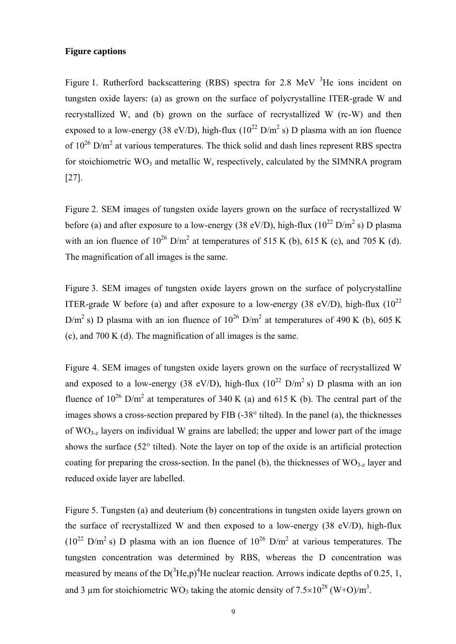# **Figure captions**

Figure 1. Rutherford backscattering (RBS) spectra for 2.8 MeV  $3$ He ions incident on tungsten oxide layers: (a) as grown on the surface of polycrystalline ITER-grade W and recrystallized W, and (b) grown on the surface of recrystallized W (rc-W) and then exposed to a low-energy (38 eV/D), high-flux ( $10^{22}$  D/m<sup>2</sup> s) D plasma with an ion fluence of  $10^{26}$  D/m<sup>2</sup> at various temperatures. The thick solid and dash lines represent RBS spectra for stoichiometric  $WO_3$  and metallic W, respectively, calculated by the SIMNRA program [27].

Figure 2. SEM images of tungsten oxide layers grown on the surface of recrystallized W before (a) and after exposure to a low-energy (38 eV/D), high-flux ( $10^{22}$  D/m<sup>2</sup> s) D plasma with an ion fluence of  $10^{26}$  D/m<sup>2</sup> at temperatures of 515 K (b), 615 K (c), and 705 K (d). The magnification of all images is the same.

Figure 3. SEM images of tungsten oxide layers grown on the surface of polycrystalline ITER-grade W before (a) and after exposure to a low-energy (38 eV/D), high-flux  $(10^{22}$ D/m<sup>2</sup> s) D plasma with an ion fluence of  $10^{26}$  D/m<sup>2</sup> at temperatures of 490 K (b), 605 K (c), and 700 K (d). The magnification of all images is the same.

Figure 4. SEM images of tungsten oxide layers grown on the surface of recrystallized W and exposed to a low-energy (38 eV/D), high-flux ( $10^{22}$  D/m<sup>2</sup> s) D plasma with an ion fluence of  $10^{26}$  D/m<sup>2</sup> at temperatures of 340 K (a) and 615 K (b). The central part of the images shows a cross-section prepared by FIB (-38° tilted). In the panel (a), the thicknesses of WO3-*z* layers on individual W grains are labelled; the upper and lower part of the image shows the surface (52° tilted). Note the layer on top of the oxide is an artificial protection coating for preparing the cross-section. In the panel (b), the thicknesses of  $WO_{3-z}$  layer and reduced oxide layer are labelled.

Figure 5. Tungsten (a) and deuterium (b) concentrations in tungsten oxide layers grown on the surface of recrystallized W and then exposed to a low-energy (38 eV/D), high-flux  $(10^{22} \text{ D/m}^2 \text{ s})$  D plasma with an ion fluence of  $10^{26} \text{ D/m}^2$  at various temperatures. The tungsten concentration was determined by RBS, whereas the D concentration was measured by means of the  $D(^{3}He, p)^{4}He$  nuclear reaction. Arrows indicate depths of 0.25, 1, and 3 µm for stoichiometric WO<sub>3</sub> taking the atomic density of  $7.5 \times 10^{28}$  (W+O)/m<sup>3</sup>.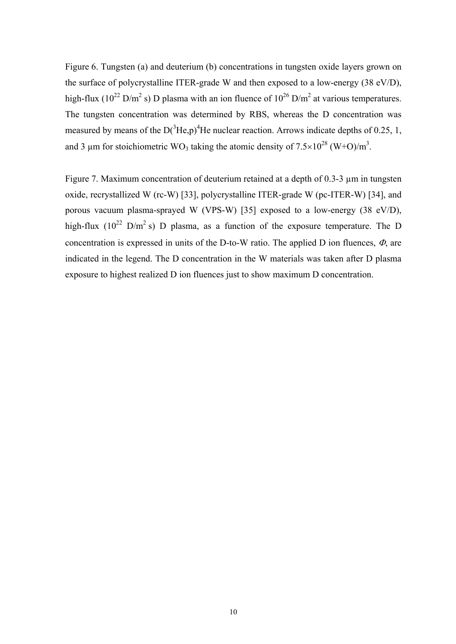Figure 6. Tungsten (a) and deuterium (b) concentrations in tungsten oxide layers grown on the surface of polycrystalline ITER-grade W and then exposed to a low-energy (38 eV/D), high-flux (10<sup>22</sup> D/m<sup>2</sup> s) D plasma with an ion fluence of  $10^{26}$  D/m<sup>2</sup> at various temperatures. The tungsten concentration was determined by RBS, whereas the D concentration was measured by means of the  $D(^{3}He, p)^{4}He$  nuclear reaction. Arrows indicate depths of 0.25, 1, and 3 µm for stoichiometric WO<sub>3</sub> taking the atomic density of  $7.5 \times 10^{28}$  (W+O)/m<sup>3</sup>.

Figure 7. Maximum concentration of deuterium retained at a depth of 0.3-3  $\mu$ m in tungsten oxide, recrystallized W (rc-W) [33], polycrystalline ITER-grade W (pc-ITER-W) [34], and porous vacuum plasma-sprayed W (VPS-W) [35] exposed to a low-energy (38 eV/D), high-flux ( $10^{22}$  D/m<sup>2</sup> s) D plasma, as a function of the exposure temperature. The D concentration is expressed in units of the D-to-W ratio. The applied D ion fluences,  $\Phi$ , are indicated in the legend. The D concentration in the W materials was taken after D plasma exposure to highest realized D ion fluences just to show maximum D concentration.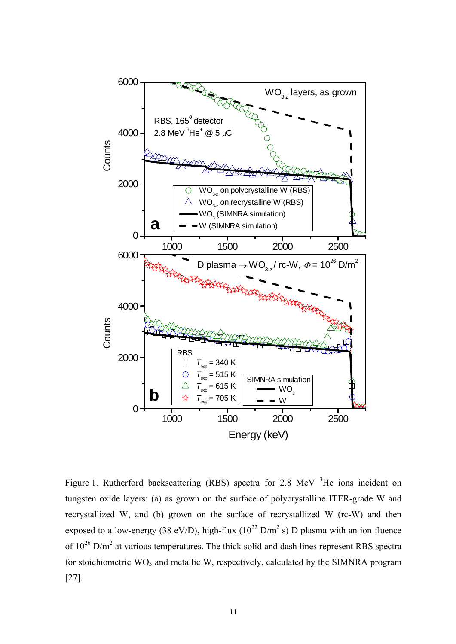

Figure 1. Rutherford backscattering (RBS) spectra for 2.8 MeV <sup>3</sup>He ions incident on tungsten oxide layers: (a) as grown on the surface of polycrystalline ITER-grade W and recrystallized W, and (b) grown on the surface of recrystallized W (rc-W) and then exposed to a low-energy (38 eV/D), high-flux ( $10^{22}$  D/m<sup>2</sup> s) D plasma with an ion fluence of  $10^{26}$  D/m<sup>2</sup> at various temperatures. The thick solid and dash lines represent RBS spectra for stoichiometric  $WO_3$  and metallic W, respectively, calculated by the SIMNRA program [27].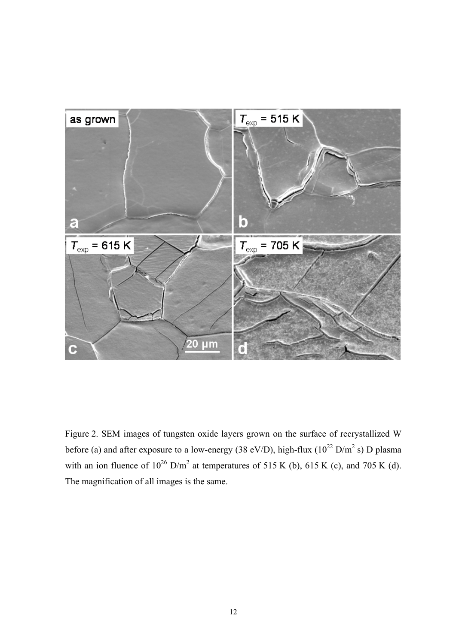

Figure 2. SEM images of tungsten oxide layers grown on the surface of recrystallized W before (a) and after exposure to a low-energy (38 eV/D), high-flux ( $10^{22}$  D/m<sup>2</sup> s) D plasma with an ion fluence of  $10^{26}$  D/m<sup>2</sup> at temperatures of 515 K (b), 615 K (c), and 705 K (d). The magnification of all images is the same.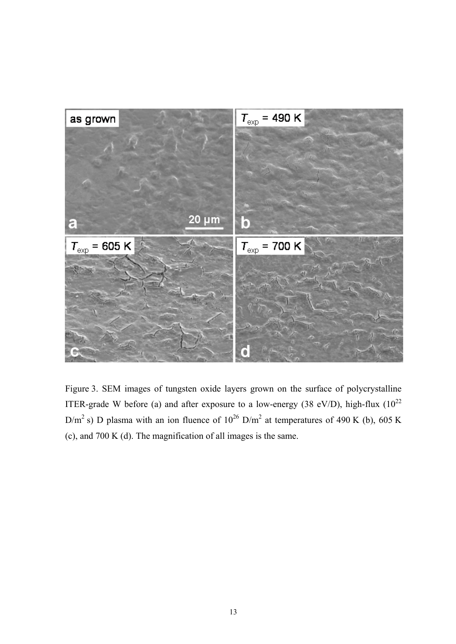

Figure 3. SEM images of tungsten oxide layers grown on the surface of polycrystalline ITER-grade W before (a) and after exposure to a low-energy (38 eV/D), high-flux  $(10^{22}$ D/m<sup>2</sup> s) D plasma with an ion fluence of  $10^{26}$  D/m<sup>2</sup> at temperatures of 490 K (b), 605 K (c), and 700 K (d). The magnification of all images is the same.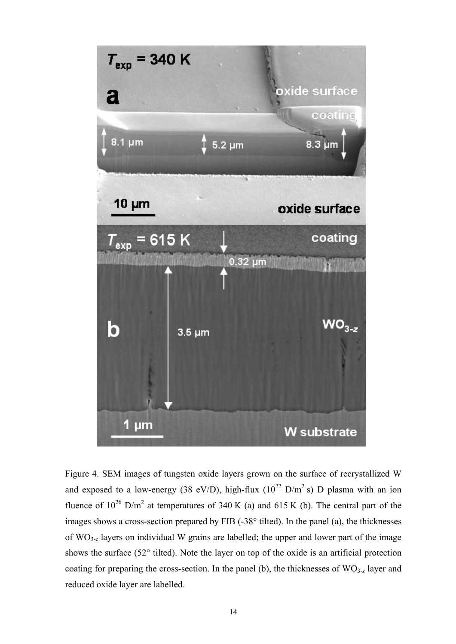

Figure 4. SEM images of tungsten oxide layers grown on the surface of recrystallized W and exposed to a low-energy (38 eV/D), high-flux ( $10^{22}$  D/m<sup>2</sup> s) D plasma with an ion fluence of  $10^{26}$  D/m<sup>2</sup> at temperatures of 340 K (a) and 615 K (b). The central part of the images shows a cross-section prepared by FIB (-38° tilted). In the panel (a), the thicknesses of WO3-*z* layers on individual W grains are labelled; the upper and lower part of the image shows the surface (52° tilted). Note the layer on top of the oxide is an artificial protection coating for preparing the cross-section. In the panel (b), the thicknesses of WO<sub>3-*z*</sub> layer and reduced oxide layer are labelled.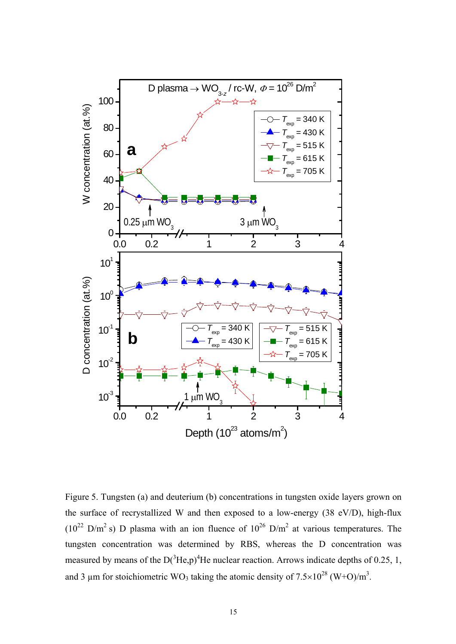

Figure 5. Tungsten (a) and deuterium (b) concentrations in tungsten oxide layers grown on the surface of recrystallized W and then exposed to a low-energy (38 eV/D), high-flux  $(10^{22} \text{ D/m}^2 \text{ s})$  D plasma with an ion fluence of  $10^{26} \text{ D/m}^2$  at various temperatures. The tungsten concentration was determined by RBS, whereas the D concentration was measured by means of the  $D(^{3}He, p)^{4}He$  nuclear reaction. Arrows indicate depths of 0.25, 1, and 3 µm for stoichiometric WO<sub>3</sub> taking the atomic density of  $7.5 \times 10^{28}$  (W+O)/m<sup>3</sup>.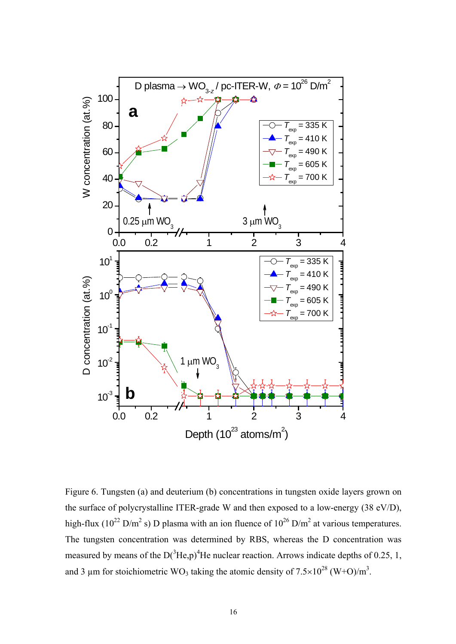

Figure 6. Tungsten (a) and deuterium (b) concentrations in tungsten oxide layers grown on the surface of polycrystalline ITER-grade W and then exposed to a low-energy (38 eV/D), high-flux (10<sup>22</sup> D/m<sup>2</sup> s) D plasma with an ion fluence of  $10^{26}$  D/m<sup>2</sup> at various temperatures. The tungsten concentration was determined by RBS, whereas the D concentration was measured by means of the  $D(^{3}He, p)^{4}He$  nuclear reaction. Arrows indicate depths of 0.25, 1, and 3 µm for stoichiometric WO<sub>3</sub> taking the atomic density of  $7.5 \times 10^{28}$  (W+O)/m<sup>3</sup>.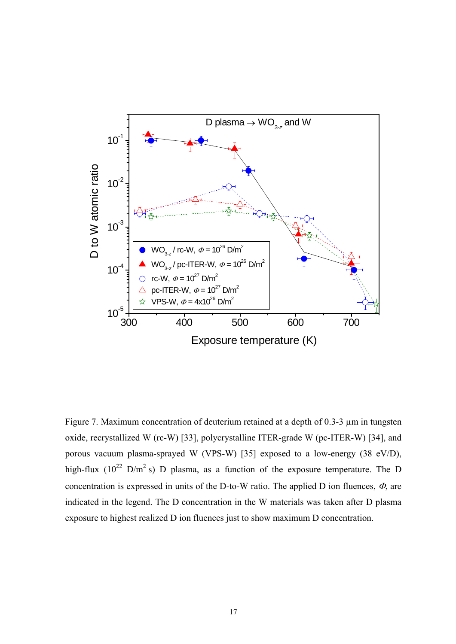

Figure 7. Maximum concentration of deuterium retained at a depth of 0.3-3  $\mu$ m in tungsten oxide, recrystallized W (rc-W) [33], polycrystalline ITER-grade W (pc-ITER-W) [34], and porous vacuum plasma-sprayed W (VPS-W) [35] exposed to a low-energy (38 eV/D), high-flux ( $10^{22}$  D/m<sup>2</sup> s) D plasma, as a function of the exposure temperature. The D concentration is expressed in units of the D-to-W ratio. The applied D ion fluences,  $\Phi$ , are indicated in the legend. The D concentration in the W materials was taken after D plasma exposure to highest realized D ion fluences just to show maximum D concentration.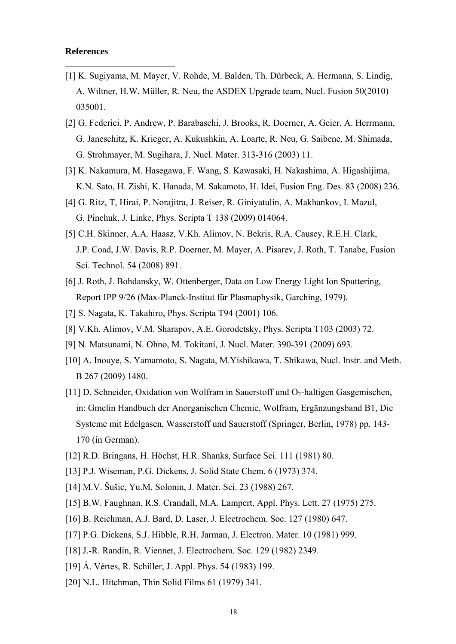### **References**

-

- [1] K. Sugiyama, M. Mayer, V. Rohde, M. Balden, Th. Dürbeck, A. Hermann, S. Lindig, A. Wiltner, H.W. Müller, R. Neu, the ASDEX Upgrade team, Nucl. Fusion 50(2010) 035001.
- [2] G. Federici, P. Andrew, P. Barabaschi, J. Brooks, R. Doerner, A. Geier, A. Herrmann, G. Janeschitz, K. Krieger, A. Kukushkin, A. Loarte, R. Neu, G. Saibene, M. Shimada, G. Strohmayer, M. Sugihara, J. Nucl. Mater. 313-316 (2003) 11.
- [3] K. Nakamura, M. Hasegawa, F. Wang, S. Kawasaki, H. Nakashima, A. Higashijima, K.N. Sato, H. Zishi, K. Hanada, M. Sakamoto, H. Idei, Fusion Eng. Des. 83 (2008) 236.
- [4] G. Ritz, T, Hirai, P. Norajitra, J. Reiser, R. Giniyatulin, A. Makhankov, I. Mazul, G. Pinchuk, J. Linke, Phys. Scripta T 138 (2009) 014064.
- [5] C.H. Skinner, A.A. Haasz, V.Kh. Alimov, N. Bekris, R.A. Causey, R.E.H. Clark, J.P. Coad, J.W. Davis, R.P. Doerner, M. Mayer, A. Pisarev, J. Roth, T. Tanabe, Fusion Sci. Technol. 54 (2008) 891.
- [6] J. Roth, J. Bohdansky, W. Ottenberger, Data on Low Energy Light Ion Sputtering, Report IPP 9/26 (Max-Planck-Institut für Plasmaphysik, Garching, 1979).
- [7] S. Nagata, K. Takahiro, Phys. Scripta T94 (2001) 106.
- [8] V.Kh. Alimov, V.M. Sharapov, A.E. Gorodetsky, Phys. Scripta T103 (2003) 72.
- [9] N. Matsunami, N. Ohno, M. Tokitani, J. Nucl. Mater. 390-391 (2009) 693.
- [10] A. Inouye, S. Yamamoto, S. Nagata, M.Yishikawa, T. Shikawa, Nucl. Instr. and Meth. B 267 (2009) 1480.
- [11] D. Schneider, Oxidation von Wolfram in Sauerstoff und O<sub>2</sub>-haltigen Gasgemischen, in: Gmelin Handbuch der Anorganischen Chemie, Wolfram, Ergänzungsband B1, Die Systeme mit Edelgasen, Wasserstoff und Sauerstoff (Springer, Berlin, 1978) pp. 143- 170 (in German).
- [12] R.D. Bringans, H. Höchst, H.R. Shanks, Surface Sci. 111 (1981) 80.
- [13] P.J. Wiseman, P.G. Dickens, J. Solid State Chem. 6 (1973) 374.
- [14] M.V. Šušic, Yu.M. Solonin, J. Mater. Sci. 23 (1988) 267.
- [15] B.W. Faughnan, R.S. Crandall, M.A. Lampert, Appl. Phys. Lett. 27 (1975) 275.
- [16] B. Reichman, A.J. Bard, D. Laser, J. Electrochem. Soc. 127 (1980) 647.
- [17] P.G. Dickens, S.J. Hibble, R.H. Jarman, J. Electron. Mater. 10 (1981) 999.
- [18] J.-R. Randin, R. Viennet, J. Electrochem. Soc. 129 (1982) 2349.
- [19] Á. Vértes, R. Schiller, J. Appl. Phys. 54 (1983) 199.
- [20] N.L. Hitchman, Thin Solid Films 61 (1979) 341.